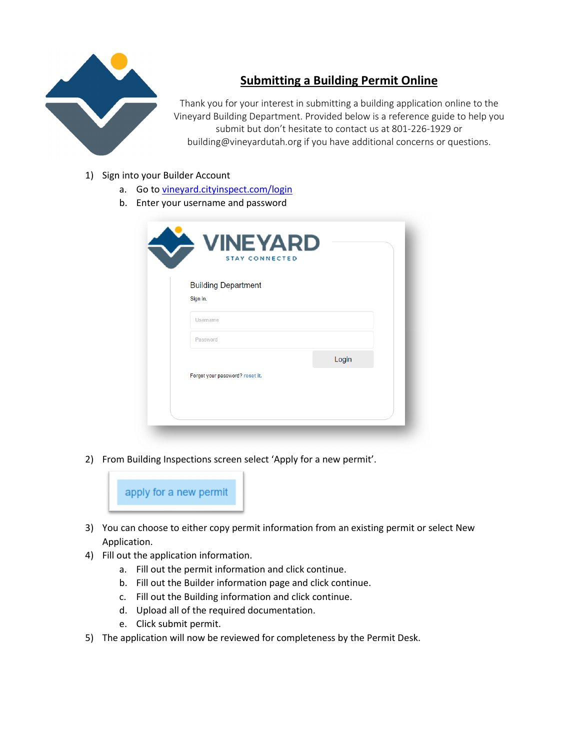

## **Submitting a Building Permit Online**

Thank you for your interest in submitting a building application online to the Vineyard Building Department. Provided below is a reference guide to help you submit but don't hesitate to contact us at 801-226-1929 or building@vineyardutah.org if you have additional concerns or questions.

- 1) Sign into your Builder Account
	- a. Go to vineyard.cityinspect.com/login
	- b. Enter your username and password

| <b>Building Department</b>      |       |
|---------------------------------|-------|
| Sign in.                        |       |
| <b>Username</b>                 |       |
| Password                        |       |
|                                 | Login |
| Forgot your password? reset it. |       |

2) From Building Inspections screen select 'Apply for a new permit'.



- 3) You can choose to either copy permit information from an existing permit or select New Application.
- 4) Fill out the application information.
	- a. Fill out the permit information and click continue.
	- b. Fill out the Builder information page and click continue.
	- c. Fill out the Building information and click continue.
	- d. Upload all of the required documentation.
	- e. Click submit permit.
- 5) The application will now be reviewed for completeness by the Permit Desk.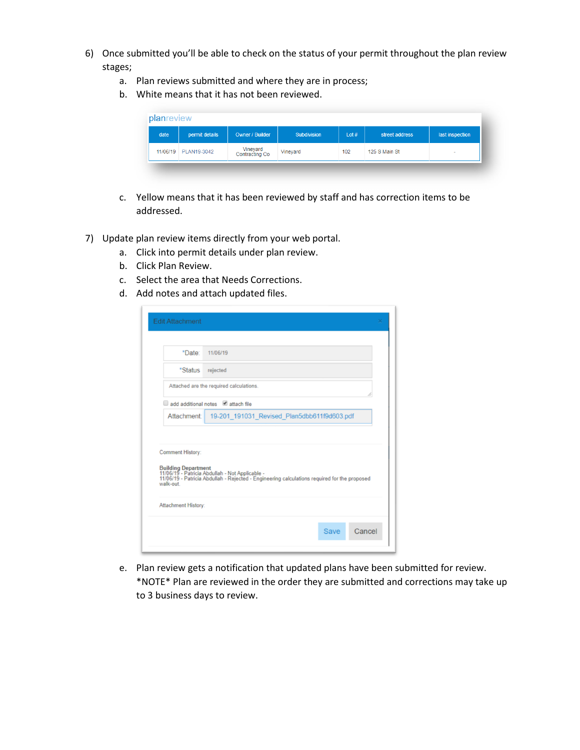- 6) Once submitted you'll be able to check on the status of your permit throughout the plan review stages;
	- a. Plan reviews submitted and where they are in process;
	- b. White means that it has not been reviewed.

| date | permit details       | <b>Owner / Builder</b>     | <b>Subdivision</b> | Lot# | street address | last inspection |
|------|----------------------|----------------------------|--------------------|------|----------------|-----------------|
|      | 11/06/19 PLAN19-3042 | Vineyard<br>Contracting Co | Vineyard           | 102  | 125 S Main St  |                 |

- c. Yellow means that it has been reviewed by staff and has correction items to be addressed.
- 7) Update plan review items directly from your web portal.
	- a. Click into permit details under plan review.
	- b. Click Plan Review.
	- c. Select the area that Needs Corrections.
	- d. Add notes and attach updated files.

| *Date:                              | 11/06/19                                                                                                                                                               |
|-------------------------------------|------------------------------------------------------------------------------------------------------------------------------------------------------------------------|
| *Status                             | rejected                                                                                                                                                               |
|                                     | Attached are the required calculations.                                                                                                                                |
|                                     | add additional notes attach file                                                                                                                                       |
| Attachment:                         | 19-201_191031_Revised_Plan5dbb611f9d603.pdf                                                                                                                            |
| <b>Comment History:</b><br>walk-out | Building Department<br>11/06/19 - Patricia Abdullah - Not Applicable -<br>11/06/19 - Patricia Abdullah - Rejected - Engineering calculations required for the proposed |

e. Plan review gets a notification that updated plans have been submitted for review. \*NOTE\* Plan are reviewed in the order they are submitted and corrections may take up to 3 business days to review.